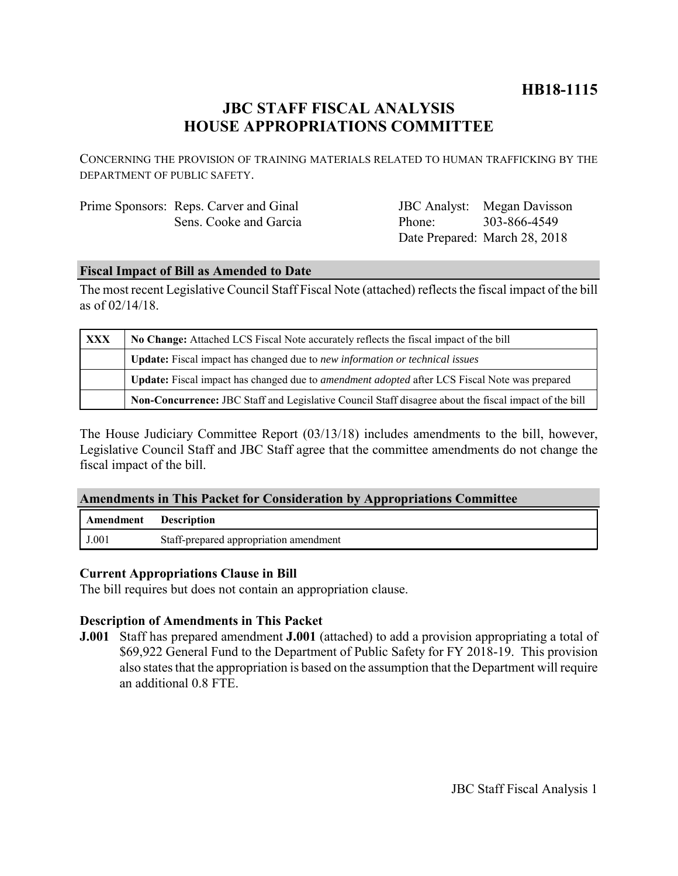# **HB18-1115**

# **JBC STAFF FISCAL ANALYSIS HOUSE APPROPRIATIONS COMMITTEE**

CONCERNING THE PROVISION OF TRAINING MATERIALS RELATED TO HUMAN TRAFFICKING BY THE DEPARTMENT OF PUBLIC SAFETY.

| Prime Sponsors: Reps. Carver and Ginal |
|----------------------------------------|
| Sens. Cooke and Garcia                 |

JBC Analyst: Megan Davisson Phone: Date Prepared: March 28, 2018 303-866-4549

## **Fiscal Impact of Bill as Amended to Date**

The most recent Legislative Council Staff Fiscal Note (attached) reflects the fiscal impact of the bill as of 02/14/18.

| <b>XXX</b> | No Change: Attached LCS Fiscal Note accurately reflects the fiscal impact of the bill                 |  |
|------------|-------------------------------------------------------------------------------------------------------|--|
|            | Update: Fiscal impact has changed due to new information or technical issues                          |  |
|            | Update: Fiscal impact has changed due to <i>amendment adopted</i> after LCS Fiscal Note was prepared  |  |
|            | Non-Concurrence: JBC Staff and Legislative Council Staff disagree about the fiscal impact of the bill |  |

The House Judiciary Committee Report (03/13/18) includes amendments to the bill, however, Legislative Council Staff and JBC Staff agree that the committee amendments do not change the fiscal impact of the bill.

## **Amendments in This Packet for Consideration by Appropriations Committee**

| Amendment | <b>Description</b>                     |
|-----------|----------------------------------------|
| J.001     | Staff-prepared appropriation amendment |

## **Current Appropriations Clause in Bill**

The bill requires but does not contain an appropriation clause.

## **Description of Amendments in This Packet**

**J.001** Staff has prepared amendment **J.001** (attached) to add a provision appropriating a total of \$69,922 General Fund to the Department of Public Safety for FY 2018-19. This provision also states that the appropriation is based on the assumption that the Department will require an additional 0.8 FTE.